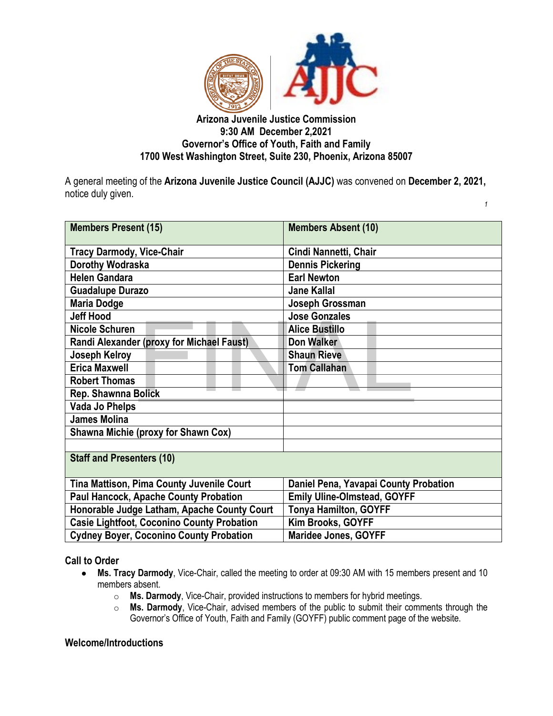

# **Arizona Juvenile Justice Commission 9:30 AM December 2,2021 Governor's Office of Youth, Faith and Family 1700 West Washington Street, Suite 230, Phoenix, Arizona 85007**

A general meeting of the **Arizona Juvenile Justice Council (AJJC)** was convened on **December 2, 2021,**  notice duly given. *1* 

| <b>Members Present (15)</b>                       | <b>Members Absent (10)</b>            |
|---------------------------------------------------|---------------------------------------|
| <b>Tracy Darmody, Vice-Chair</b>                  | Cindi Nannetti, Chair                 |
| Dorothy Wodraska                                  | <b>Dennis Pickering</b>               |
| <b>Helen Gandara</b>                              | <b>Earl Newton</b>                    |
| <b>Guadalupe Durazo</b>                           | <b>Jane Kallal</b>                    |
| <b>Maria Dodge</b>                                | Joseph Grossman                       |
| <b>Jeff Hood</b>                                  | <b>Jose Gonzales</b>                  |
| <b>Nicole Schuren</b>                             | <b>Alice Bustillo</b>                 |
| Randi Alexander (proxy for Michael Faust)         | Don Walker                            |
| Joseph Kelroy                                     | <b>Shaun Rieve</b>                    |
| <b>Erica Maxwell</b>                              | <b>Tom Callahan</b>                   |
| <b>Robert Thomas</b>                              |                                       |
| Rep. Shawnna Bolick                               |                                       |
| <b>Vada Jo Phelps</b>                             |                                       |
| <b>James Molina</b>                               |                                       |
| <b>Shawna Michie (proxy for Shawn Cox)</b>        |                                       |
|                                                   |                                       |
| <b>Staff and Presenters (10)</b>                  |                                       |
| Tina Mattison, Pima County Juvenile Court         | Daniel Pena, Yavapai County Probation |
| <b>Paul Hancock, Apache County Probation</b>      | <b>Emily Uline-Olmstead, GOYFF</b>    |
| Honorable Judge Latham, Apache County Court       | <b>Tonya Hamilton, GOYFF</b>          |
| <b>Casie Lightfoot, Coconino County Probation</b> | Kim Brooks, GOYFF                     |
| <b>Cydney Boyer, Coconino County Probation</b>    | Maridee Jones, GOYFF                  |

**Call to Order**

- **Ms. Tracy Darmody**, Vice-Chair, called the meeting to order at 09:30 AM with 15 members present and 10 members absent.
	- o **Ms. Darmody**, Vice-Chair, provided instructions to members for hybrid meetings.<br>○ **Ms. Darmody**, Vice-Chair, advised members of the public to submit their comn
	- Ms. Darmody, Vice-Chair, advised members of the public to submit their comments through the Governor's Office of Youth, Faith and Family (GOYFF) public comment page of the website.

#### **Welcome/Introductions**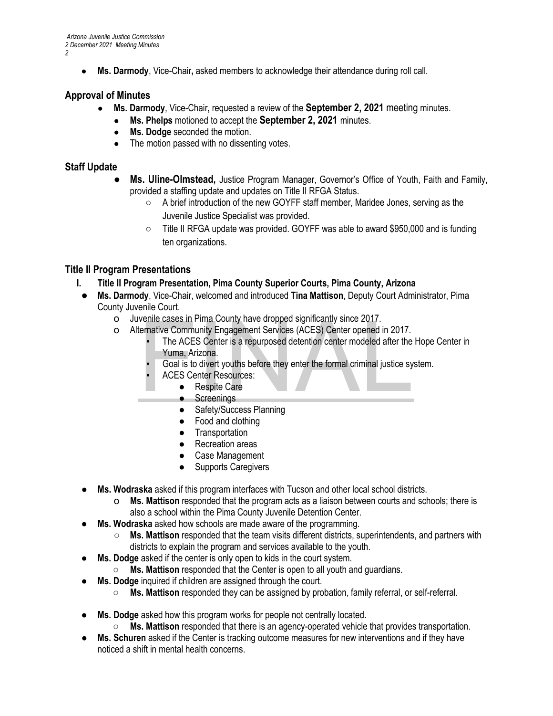**Ms. Darmody, Vice-Chair, asked members to acknowledge their attendance during roll call.** 

### **Approval of Minutes**

- **Ms. Darmody**, Vice-Chair**,** requested a review of the **September 2, 2021** meeting minutes.
	- **Ms. Phelps** motioned to accept the **September 2, 2021** minutes.
	- **Ms. Dodge** seconded the motion.
	- The motion passed with no dissenting votes.

#### **Staff Update**

- **Ms. Uline-Olmstead,** Justice Program Manager, Governor's Office of Youth, Faith and Family, provided a staffing update and updates on Title II RFGA Status.
	- A brief introduction of the new GOYFF staff member, Maridee Jones, serving as the Juvenile Justice Specialist was provided.
	- Title II RFGA update was provided. GOYFF was able to award \$950,000 and is funding ten organizations.

### **Title II Program Presentations**

- **I. Title II Program Presentation, Pima County Superior Courts, Pima County, Arizona**
- **Ms. Darmody**, Vice-Chair, welcomed and introduced **Tina Mattison**, Deputy Court Administrator, Pima County Juvenile Court.
	- o Juvenile cases in Pima County have dropped significantly since 2017.
	- o Alternative Community Engagement Services (ACES) Center opened in 2017.
- The ACES Center is a repurposed detention center modeled after the Hope Center in Yuma, Arizona. Venile cases in Pima County have dropped significantly since 2017.<br>
Fernative Community Engagement Services (ACES) Center opened in 2017.<br>
The ACES Center is a repurposed detention center modeled after the<br>
Yuma, Arizona.<br>
	- Goal is to divert youths before they enter the formal criminal justice system.
	- **ACES Center Resources:** 
		- Respite Care
		- Screenings
		- Safety/Success Planning
		- Food and clothing
		- Transportation
		- Recreation areas
		- Case Management
		- Supports Caregivers
- **Ms. Wodraska** asked if this program interfaces with Tucson and other local school districts.
	- o **Ms. Mattison** responded that the program acts as a liaison between courts and schools; there is also a school within the Pima County Juvenile Detention Center.
- **Ms. Wodraska** asked how schools are made aware of the programming.
	- **Ms. Mattison** responded that the team visits different districts, superintendents, and partners with districts to explain the program and services available to the youth.
- **Ms. Dodge** asked if the center is only open to kids in the court system.
	- **Ms. Mattison** responded that the Center is open to all youth and guardians.
- **Ms. Dodge** inquired if children are assigned through the court.
	- **Ms. Mattison** responded they can be assigned by probation, family referral, or self-referral.
- **Ms. Dodge** asked how this program works for people not centrally located.
	- **Ms. Mattison** responded that there is an agency-operated vehicle that provides transportation.
- **Ms. Schuren** asked if the Center is tracking outcome measures for new interventions and if they have noticed a shift in mental health concerns.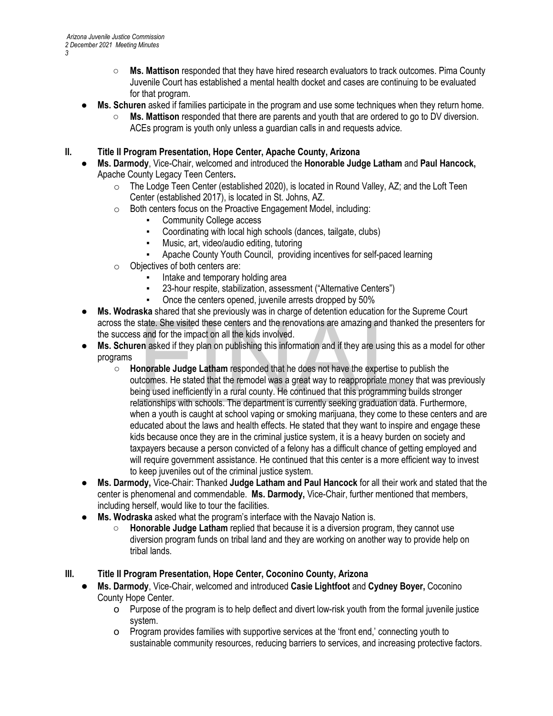- **Ms. Mattison** responded that they have hired research evaluators to track outcomes. Pima County Juvenile Court has established a mental health docket and cases are continuing to be evaluated for that program.
- **Ms. Schuren** asked if families participate in the program and use some techniques when they return home.
	- **Ms. Mattison** responded that there are parents and youth that are ordered to go to DV diversion. ACEs program is youth only unless a guardian calls in and requests advice.
- **II. Title II Program Presentation, Hope Center, Apache County, Arizona**
	- **Ms. Darmody**, Vice-Chair, welcomed and introduced the **Honorable Judge Latham** and **Paul Hancock,** Apache County Legacy Teen Centers**.**
		- o The Lodge Teen Center (established 2020), is located in Round Valley, AZ; and the Loft Teen Center (established 2017), is located in St. Johns, AZ.
		- o Both centers focus on the Proactive Engagement Model, including:
			- **Community College access**
			- Coordinating with local high schools (dances, tailgate, clubs)
			- Music, art, video/audio editing, tutoring
			- Apache County Youth Council, providing incentives for self-paced learning
		- o Objectives of both centers are:
			- Intake and temporary holding area
			- 23-hour respite, stabilization, assessment ("Alternative Centers")
			- Once the centers opened, juvenile arrests dropped by 50%
	- **Ms. Wodraska** shared that she previously was in charge of detention education for the Supreme Court the success and for the impact on all the kids involved.
	- **Ms. Schuren** asked if they plan on publishing this information and if they are using this as a model for other programs
- across the state. She visited these centers and the renovations are amazing and thanked the presenters for<br>
the success and for the impact on all the kids involved.<br> **Ms. Schuren** asked if they plan on publishing this info ○ **Honorable Judge Latham** responded that he does not have the expertise to publish the outcomes. He stated that the remodel was a great way to reappropriate money that was previously being used inefficiently in a rural county. He continued that this programming builds stronger relationships with schools. The department is currently seeking graduation data. Furthermore, when a youth is caught at school vaping or smoking marijuana, they come to these centers and are educated about the laws and health effects. He stated that they want to inspire and engage these kids because once they are in the criminal justice system, it is a heavy burden on society and taxpayers because a person convicted of a felony has a difficult chance of getting employed and will require government assistance. He continued that this center is a more efficient way to invest to keep juveniles out of the criminal justice system.
	- **Ms. Darmody,** Vice-Chair: Thanked **Judge Latham and Paul Hancock** for all their work and stated that the center is phenomenal and commendable. **Ms. Darmody,** Vice-Chair, further mentioned that members, including herself, would like to tour the facilities.
	- **Ms. Wodraska** asked what the program's interface with the Navajo Nation is.
		- **Honorable Judge Latham** replied that because it is a diversion program, they cannot use diversion program funds on tribal land and they are working on another way to provide help on tribal lands.
- **III. Title II Program Presentation, Hope Center, Coconino County, Arizona**
	- **Ms. Darmody**, Vice-Chair, welcomed and introduced **Casie Lightfoot** and **Cydney Boyer,** Coconino County Hope Center.
		- o Purpose of the program is to help deflect and divert low-risk youth from the formal juvenile justice system.
		- o Program provides families with supportive services at the 'front end,' connecting youth to sustainable community resources, reducing barriers to services, and increasing protective factors.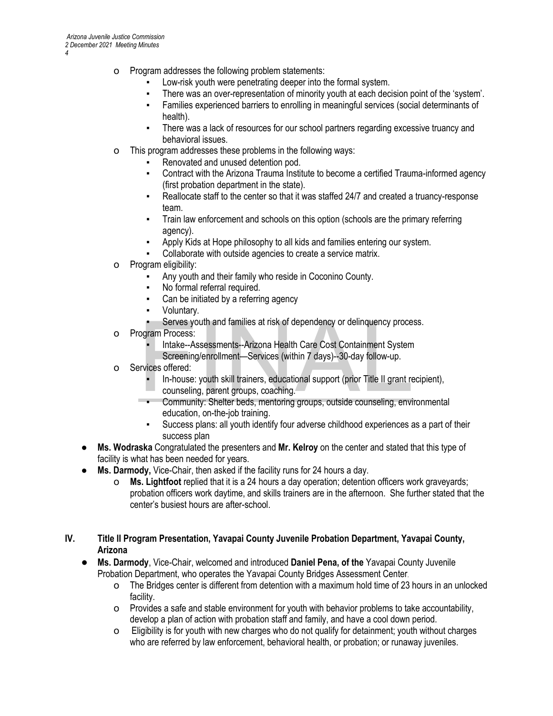- o Program addresses the following problem statements:
	- Low-risk youth were penetrating deeper into the formal system.
	- There was an over-representation of minority youth at each decision point of the 'system'.
	- Families experienced barriers to enrolling in meaningful services (social determinants of health).
	- There was a lack of resources for our school partners regarding excessive truancy and behavioral issues.
- o This program addresses these problems in the following ways:
	- Renovated and unused detention pod.
	- Contract with the Arizona Trauma Institute to become a certified Trauma-informed agency (first probation department in the state).
	- Reallocate staff to the center so that it was staffed 24/7 and created a truancy-response team.
	- Train law enforcement and schools on this option (schools are the primary referring agency).
	- Apply Kids at Hope philosophy to all kids and families entering our system.
	- Collaborate with outside agencies to create a service matrix.
- o Program eligibility:
	- Any youth and their family who reside in Coconino County.
	- No formal referral required.
	- Can be initiated by a referring agency
	- Voluntary.
	- Serves youth and families at risk of dependency or delinquency process.
- o Program Process:
	- Intake--Assessments--Arizona Health Care Cost Containment System Screening/enrollment—Services (within 7 days)--30-day follow-up.
- o Services offered:
- In-house: youth skill trainers, educational support (prior Title II grant recipient), counseling, parent groups, coaching. • Serves youth and families at risk of dependency or delinquency process.<br>
• Intake--Assessments--Arizona Health Care Cost Containment System<br>
Screening/enrollment—Services (within 7 days)--30-day follow-up.<br>
• In-house: y
	- education, on-the-job training.
	- Success plans: all youth identify four adverse childhood experiences as a part of their success plan
- **Ms. Wodraska** Congratulated the presenters and **Mr. Kelroy** on the center and stated that this type of facility is what has been needed for years.
- **Ms. Darmody,** Vice-Chair, then asked if the facility runs for 24 hours a day.
	- o **Ms. Lightfoot** replied that it is a 24 hours a day operation; detention officers work graveyards; probation officers work daytime, and skills trainers are in the afternoon. She further stated that the center's busiest hours are after-school.
- **IV. Title II Program Presentation, Yavapai County Juvenile Probation Department, Yavapai County, Arizona**
	- **Ms. Darmody**, Vice-Chair, welcomed and introduced **Daniel Pena, of the** Yavapai County Juvenile Probation Department, who operates the Yavapai County Bridges Assessment Center.
		- o The Bridges center is different from detention with a maximum hold time of 23 hours in an unlocked facility.
		- o Provides a safe and stable environment for youth with behavior problems to take accountability, develop a plan of action with probation staff and family, and have a cool down period.
		- o Eligibility is for youth with new charges who do not qualify for detainment; youth without charges who are referred by law enforcement, behavioral health, or probation; or runaway juveniles.